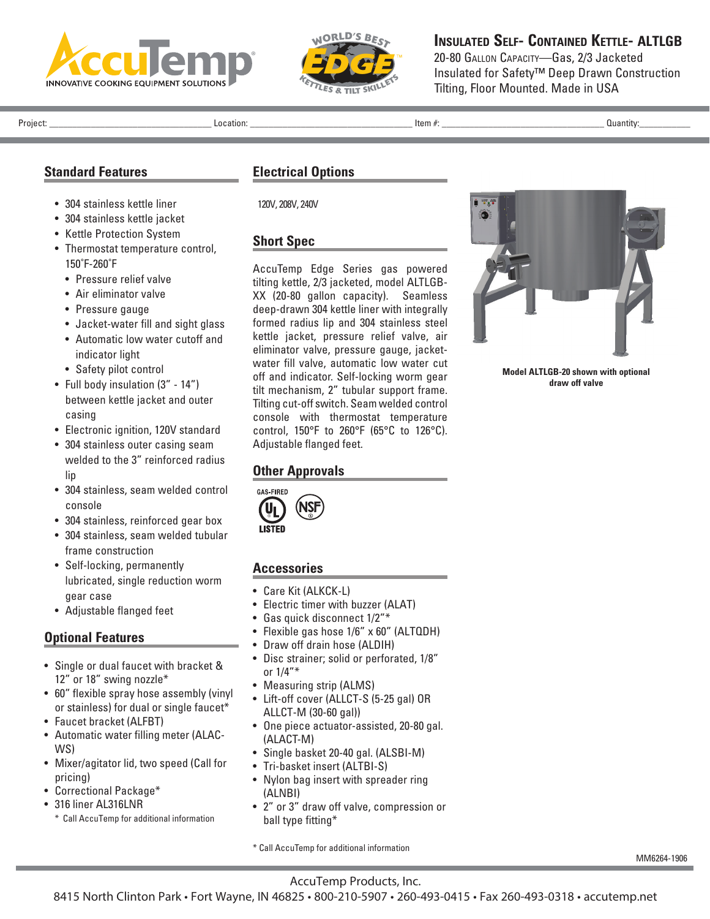



**Insulated Self- Contained Kettle- ALTLGB**

20-80 Gallon Capacity—Gas, 2/3 Jacketed Insulated for Safety™ Deep Drawn Construction Tilting, Floor Mounted. Made in USA

Project: \_\_\_\_\_\_\_\_\_\_\_\_\_\_\_\_\_\_\_\_\_\_\_\_\_\_\_\_\_\_\_\_\_\_\_ Location: \_\_\_\_\_\_\_\_\_\_\_\_\_\_\_\_\_\_\_\_\_\_\_\_\_\_\_\_\_\_\_\_\_\_\_ Item #: \_\_\_\_\_\_\_\_\_\_\_\_\_\_\_\_\_\_\_\_\_\_\_\_\_\_\_\_\_\_\_\_\_\_\_ Quantity:\_\_\_\_\_\_\_\_\_\_\_

#### **Standard Features**

- 304 stainless kettle liner
- 304 stainless kettle jacket
- Kettle Protection System
- Thermostat temperature control, 150˚F-260˚F
	- Pressure relief valve
	- Air eliminator valve
	- Pressure gauge
	- Jacket-water fill and sight glass
	- Automatic low water cutoff and indicator light
	- Safety pilot control
- Full body insulation (3" 14") between kettle jacket and outer casing
- Electronic ignition, 120V standard
- 304 stainless outer casing seam welded to the 3" reinforced radius lip
- 304 stainless, seam welded control console
- 304 stainless, reinforced gear box
- 304 stainless, seam welded tubular frame construction
- Self-locking, permanently lubricated, single reduction worm gear case
- Adjustable flanged feet

### **Optional Features**

- Single or dual faucet with bracket & 12" or 18" swing nozzle\*
- 60" flexible spray hose assembly (vinyl or stainless) for dual or single faucet\*
- Faucet bracket (ALFBT)
- Automatic water filling meter (ALAC-WS)
- Mixer/agitator lid, two speed (Call for pricing)
- Correctional Package\*
- 316 liner AL316LNR
	- \* Call AccuTemp for additional information

### **Electrical Options**

120V, 208V, 240V

#### **Short Spec**

AccuTemp Edge Series gas powered tilting kettle, 2/3 jacketed, model ALTLGB-XX (20-80 gallon capacity). Seamless deep-drawn 304 kettle liner with integrally formed radius lip and 304 stainless steel kettle jacket, pressure relief valve, air eliminator valve, pressure gauge, jacketwater fill valve, automatic low water cut off and indicator. Self-locking worm gear tilt mechanism, 2" tubular support frame. Tilting cut-off switch. Seam welded control console with thermostat temperature control, 150°F to 260°F (65°C to 126°C). Adjustable flanged feet.

## **Other Approvals**



## **Accessories**

- Care Kit (ALKCK-L)
- Electric timer with buzzer (ALAT)
- Gas quick disconnect 1/2"\*
- Flexible gas hose 1/6" x 60" (ALTQDH)
- Draw off drain hose (ALDIH)
- Disc strainer; solid or perforated, 1/8" or 1/4"\*
- Measuring strip (ALMS)
- Lift-off cover (ALLCT-S (5-25 gal) OR ALLCT-M (30-60 gal))
- One piece actuator-assisted, 20-80 gal. (ALACT-M)
- Single basket 20-40 gal. (ALSBI-M)
- Tri-basket insert (ALTBI-S)
- Nylon bag insert with spreader ring (ALNBI)
- 2" or 3" draw off valve, compression or ball type fitting\*



**Model ALTLGB-20 shown with optional draw off valve**

\* Call AccuTemp for additional information

MM6264-1906

AccuTemp Products, Inc.